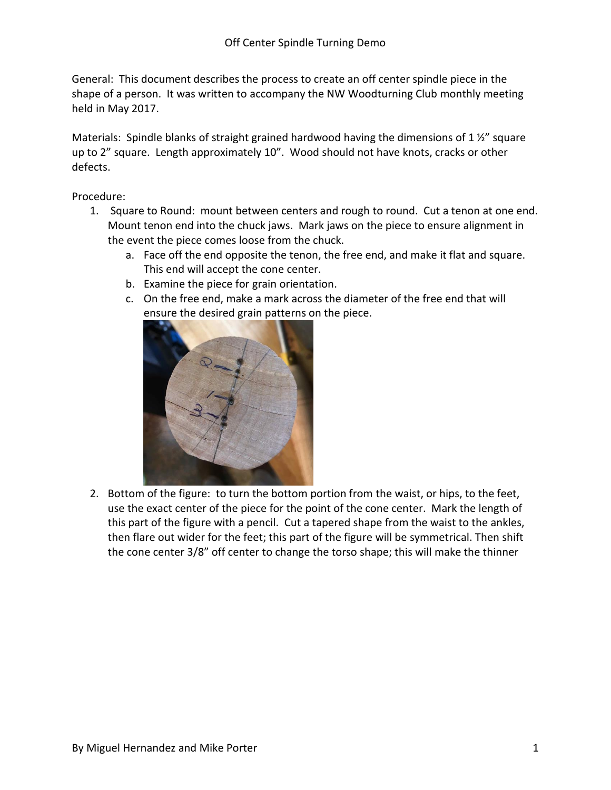General: This document describes the process to create an off center spindle piece in the shape of a person. It was written to accompany the NW Woodturning Club monthly meeting held in May 2017.

Materials: Spindle blanks of straight grained hardwood having the dimensions of 1 $\frac{1}{2}$ " square up to 2" square. Length approximately 10". Wood should not have knots, cracks or other defects.

Procedure:

- 1. Square to Round: mount between centers and rough to round. Cut a tenon at one end. Mount tenon end into the chuck jaws. Mark jaws on the piece to ensure alignment in the event the piece comes loose from the chuck.
	- a. Face off the end opposite the tenon, the free end, and make it flat and square. This end will accept the cone center.
	- b. Examine the piece for grain orientation.
	- c. On the free end, make a mark across the diameter of the free end that will ensure the desired grain patterns on the piece.



2. Bottom of the figure: to turn the bottom portion from the waist, or hips, to the feet, use the exact center of the piece for the point of the cone center. Mark the length of this part of the figure with a pencil. Cut a tapered shape from the waist to the ankles, then flare out wider for the feet; this part of the figure will be symmetrical. Then shift the cone center 3/8" off center to change the torso shape; this will make the thinner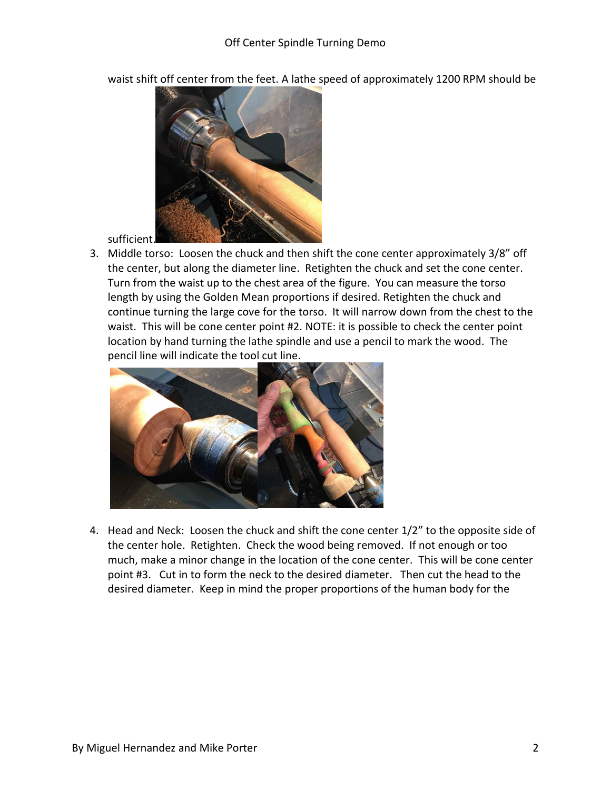

waist shift off center from the feet. A lathe speed of approximately 1200 RPM should be

sufficient.

3. Middle torso: Loosen the chuck and then shift the cone center approximately 3/8" off the center, but along the diameter line. Retighten the chuck and set the cone center. Turn from the waist up to the chest area of the figure. You can measure the torso length by using the Golden Mean proportions if desired. Retighten the chuck and continue turning the large cove for the torso. It will narrow down from the chest to the waist. This will be cone center point #2. NOTE: it is possible to check the center point location by hand turning the lathe spindle and use a pencil to mark the wood. The pencil line will indicate the tool cut line.



4. Head and Neck: Loosen the chuck and shift the cone center 1/2" to the opposite side of the center hole. Retighten. Check the wood being removed. If not enough or too much, make a minor change in the location of the cone center. This will be cone center point #3. Cut in to form the neck to the desired diameter. Then cut the head to the desired diameter. Keep in mind the proper proportions of the human body for the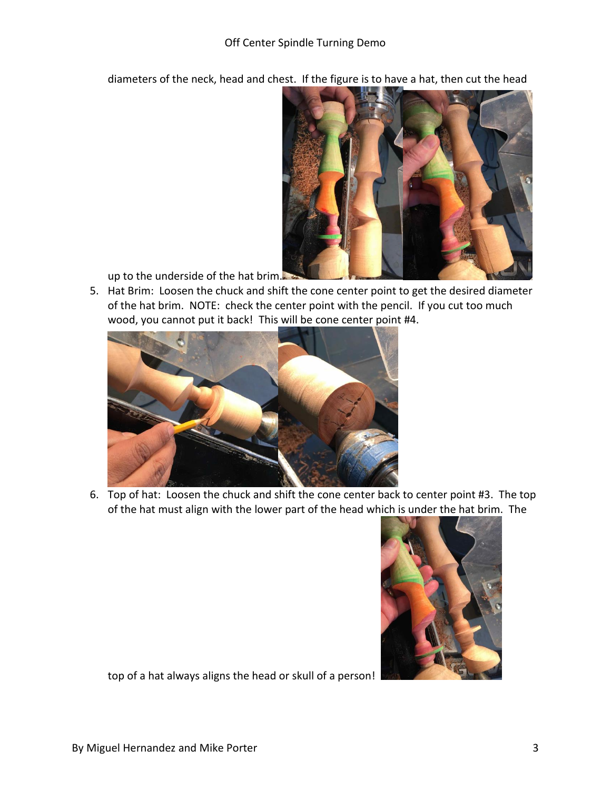diameters of the neck, head and chest. If the figure is to have a hat, then cut the head



up to the underside of the hat brim.

5. Hat Brim: Loosen the chuck and shift the cone center point to get the desired diameter of the hat brim. NOTE: check the center point with the pencil. If you cut too much wood, you cannot put it back! This will be cone center point #4.



6. Top of hat: Loosen the chuck and shift the cone center back to center point #3. The top of the hat must align with the lower part of the head which is under the hat brim. The



top of a hat always aligns the head or skull of a person!